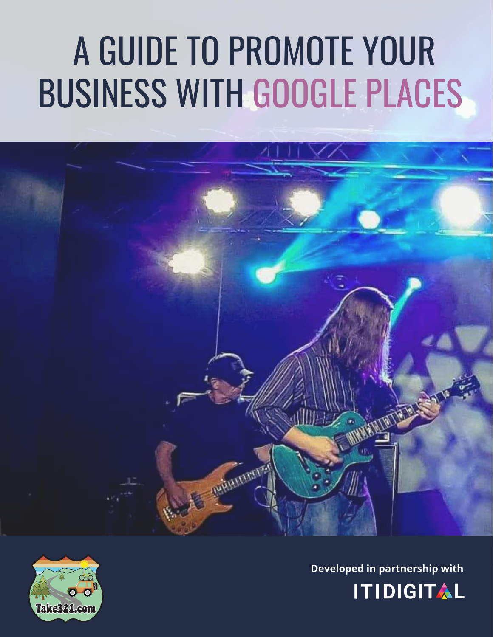# A GUIDE TO PROMOTE YOUR BUSINESS WITH GOOGLE PLACES

The transmitter



**WARRENT** 

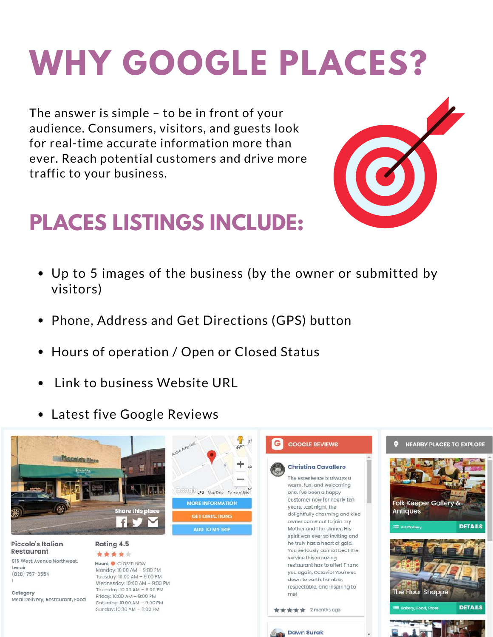# **WHY GOOGLE PLACES?**

The answer is simple – to be in front of your audience. Consumers, visitors, and guests look for real-time accurate information more than ever. Reach potential customers and drive more traffic to your business.



#### **PLACES LISTINGS INCLUDE:**

- Up to 5 images of the business (by the owner or submitted by visitors)
- Phone, Address and Get Directions (GPS) button
- Hours of operation / Open or Closed Status
- Link to business Website URL
- Latest five Google Reviews

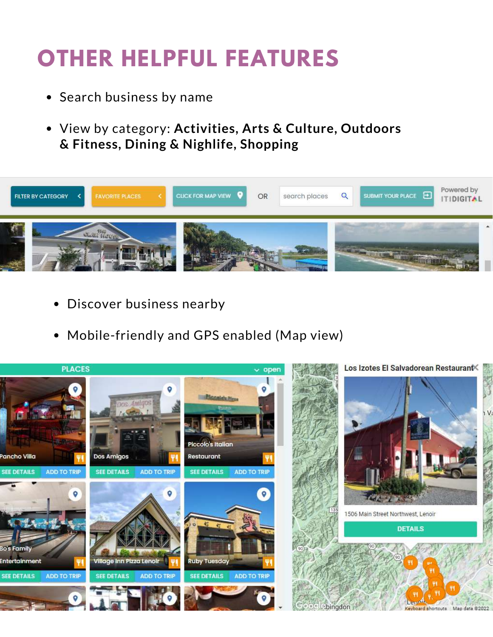#### **OTHER HELPFUL FEATURES**

- Search business by name
- View by category: **Activities, Arts & Culture, Outdoors & Fitness, Dining & Nighlife, Shopping**



- Discover business nearby
- Mobile-friendly and GPS enabled (Map view)

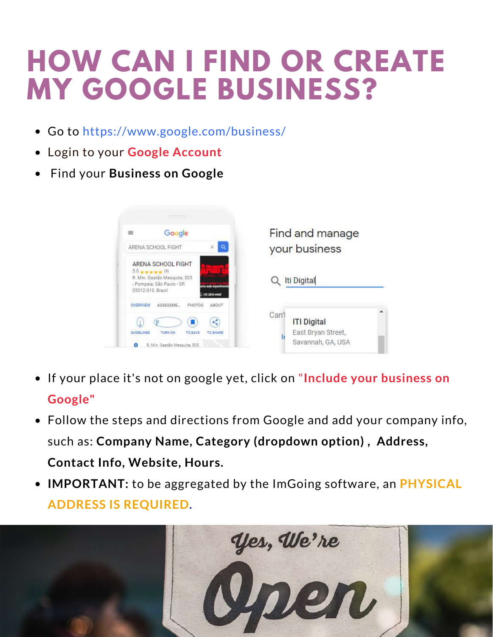## **HOW CAN I FIND OR CREATE MY GOOGLE BUSINESS?**

- Go to https://www.google.com/business/
- Login to your **Google Account**
- Find your **Business on Google**

| Google<br>$=$                                                                                                                                           | Find and manage    |
|---------------------------------------------------------------------------------------------------------------------------------------------------------|--------------------|
| ARENA SCHOOL FIGHT                                                                                                                                      | your business      |
| ARENA SCHOOL FIGHT<br>$5.0 + + + + (9)$<br>R. Min. Gastão Mesquita, 505<br>- Pompeia, São Paulo - SP.<br>aude auconvin<br>05012-010, Brazil<br>OVERVIEW | Iti Digital        |
| SCCCCOME                                                                                                                                                | Can'               |
| AROUT                                                                                                                                                   | <b>ITI Digital</b> |

- If your place it's not on google yet, click on "**Include your business on Google"**
- Follow the steps and directions from Google and add your company info, such as: **Company Name, Category (dropdown option) , Address,**
- **IMPORTANT:** to be aggregated by the ImGoing software, an **PHYSICAL ADDRESS IS REQUIRED.**

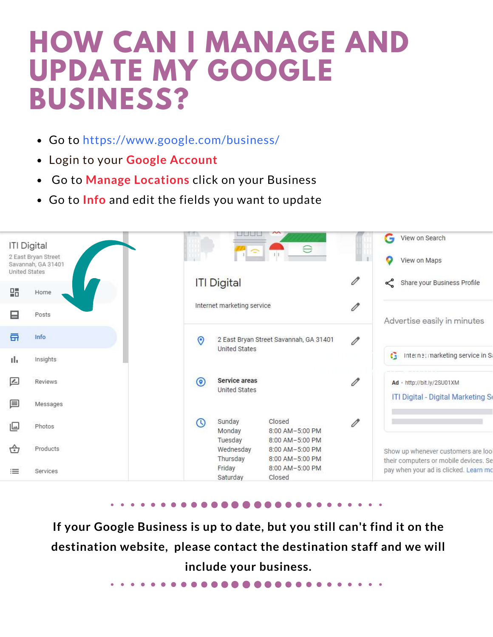### **HOW CAN I MANAGE AND UPDATE MY GOOGLE BUSINESS?**

- Go to https://www.google.com/business/
- Login to your **Google Account**
- Go to **Manage Locations** click on your Business
- Go to **Info** and edit the fields you want to update



**If your Google Business is up to date, but you still can't find it on the destination website, please contact the destination staff and we will include your business.**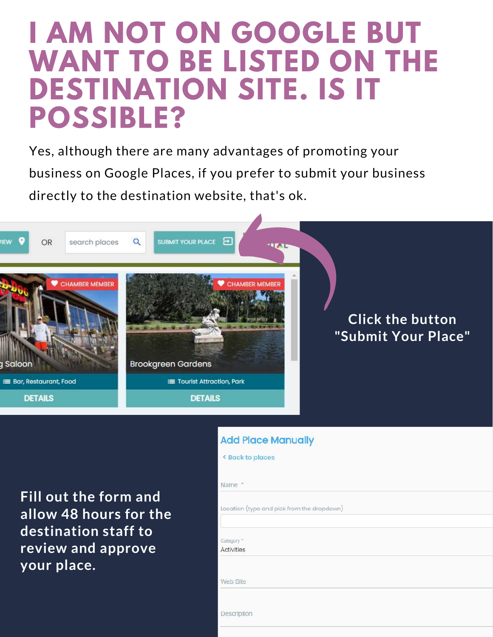### **I AM NOT ON GOOGLE BUT WANT TO BE LISTED ON THE DESTINATION SITE. IS IT POSSIBLE?**

Yes, although there are many advantages of promoting your business on Google Places, if you prefer to submit your business directly to the destination website, that's ok.



#### **Add Place Manually**

< Back to places

**Fill out the form and allow 48 hours for the destination staff to review and approve your place.**

| Name *                                     |  |
|--------------------------------------------|--|
| Location (type and pick from the dropdown) |  |
|                                            |  |
| Category *<br><b>Activities</b>            |  |
|                                            |  |
| Web Site                                   |  |
|                                            |  |
| Description                                |  |